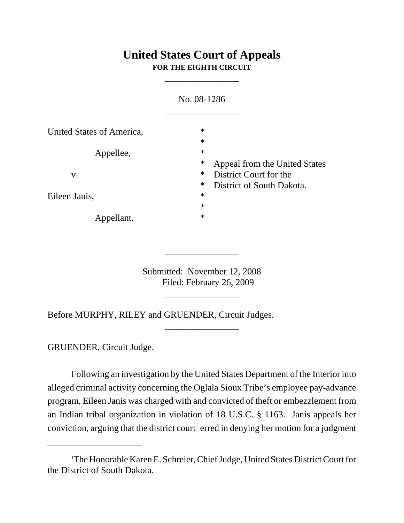## **United States Court of Appeals FOR THE EIGHTH CIRCUIT**

\_\_\_\_\_\_\_\_\_\_\_\_\_\_\_\_

|                           | No. 08-1286      |                                                         |
|---------------------------|------------------|---------------------------------------------------------|
| United States of America, | $\ast$<br>$\ast$ |                                                         |
| Appellee,                 | $\ast$<br>$\ast$ |                                                         |
| V.                        | $\ast$           | Appeal from the United States<br>District Court for the |
| Eileen Janis,             | $\ast$<br>$\ast$ | District of South Dakota.                               |
| Appellant.                | $\ast$<br>$\ast$ |                                                         |

Submitted: November 12, 2008 Filed: February 26, 2009

\_\_\_\_\_\_\_\_\_\_\_\_\_\_\_\_

\_\_\_\_\_\_\_\_\_\_\_\_\_\_\_\_

\_\_\_\_\_\_\_\_\_\_\_\_\_\_\_\_

Before MURPHY, RILEY and GRUENDER, Circuit Judges.

GRUENDER, Circuit Judge.

Following an investigation by the United States Department of the Interior into alleged criminal activity concerning the Oglala Sioux Tribe's employee pay-advance program, Eileen Janis was charged with and convicted of theft or embezzlement from an Indian tribal organization in violation of 18 U.S.C. § 1163. Janis appeals her conviction, arguing that the district court<sup>1</sup> erred in denying her motion for a judgment

<sup>1</sup> The Honorable Karen E. Schreier, Chief Judge, United States District Court for the District of South Dakota.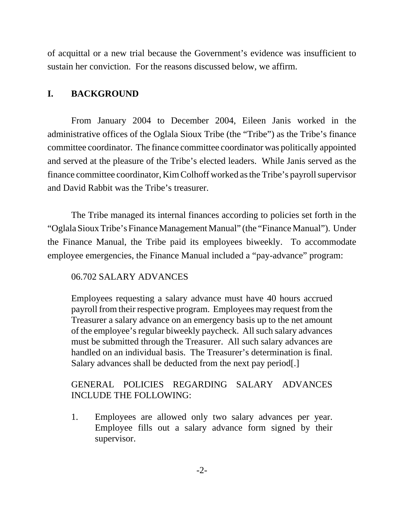of acquittal or a new trial because the Government's evidence was insufficient to sustain her conviction. For the reasons discussed below, we affirm.

#### **I. BACKGROUND**

From January 2004 to December 2004, Eileen Janis worked in the administrative offices of the Oglala Sioux Tribe (the "Tribe") as the Tribe's finance committee coordinator. The finance committee coordinator was politically appointed and served at the pleasure of the Tribe's elected leaders. While Janis served as the finance committee coordinator, Kim Colhoff worked as the Tribe's payroll supervisor and David Rabbit was the Tribe's treasurer.

The Tribe managed its internal finances according to policies set forth in the "Oglala Sioux Tribe's Finance Management Manual" (the "Finance Manual"). Under the Finance Manual, the Tribe paid its employees biweekly. To accommodate employee emergencies, the Finance Manual included a "pay-advance" program:

### 06.702 SALARY ADVANCES

Employees requesting a salary advance must have 40 hours accrued payroll from their respective program. Employees may request from the Treasurer a salary advance on an emergency basis up to the net amount of the employee's regular biweekly paycheck. All such salary advances must be submitted through the Treasurer. All such salary advances are handled on an individual basis. The Treasurer's determination is final. Salary advances shall be deducted from the next pay period.

### GENERAL POLICIES REGARDING SALARY ADVANCES INCLUDE THE FOLLOWING:

1. Employees are allowed only two salary advances per year. Employee fills out a salary advance form signed by their supervisor.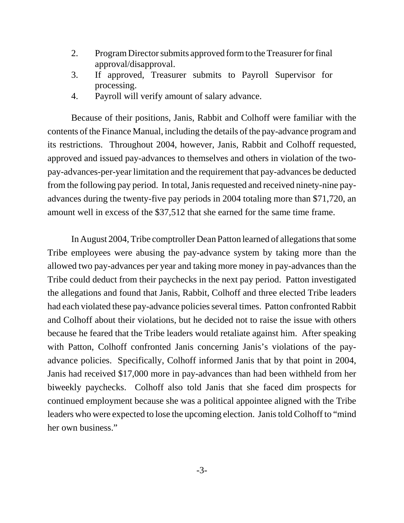- 2. Program Director submits approved form to the Treasurer for final approval/disapproval.
- 3. If approved, Treasurer submits to Payroll Supervisor for processing.
- 4. Payroll will verify amount of salary advance.

Because of their positions, Janis, Rabbit and Colhoff were familiar with the contents of the Finance Manual, including the details of the pay-advance program and its restrictions. Throughout 2004, however, Janis, Rabbit and Colhoff requested, approved and issued pay-advances to themselves and others in violation of the twopay-advances-per-year limitation and the requirement that pay-advances be deducted from the following pay period. In total, Janis requested and received ninety-nine payadvances during the twenty-five pay periods in 2004 totaling more than \$71,720, an amount well in excess of the \$37,512 that she earned for the same time frame.

In August 2004, Tribe comptroller Dean Patton learned of allegations that some Tribe employees were abusing the pay-advance system by taking more than the allowed two pay-advances per year and taking more money in pay-advances than the Tribe could deduct from their paychecks in the next pay period. Patton investigated the allegations and found that Janis, Rabbit, Colhoff and three elected Tribe leaders had each violated these pay-advance policies several times. Patton confronted Rabbit and Colhoff about their violations, but he decided not to raise the issue with others because he feared that the Tribe leaders would retaliate against him. After speaking with Patton, Colhoff confronted Janis concerning Janis's violations of the payadvance policies. Specifically, Colhoff informed Janis that by that point in 2004, Janis had received \$17,000 more in pay-advances than had been withheld from her biweekly paychecks. Colhoff also told Janis that she faced dim prospects for continued employment because she was a political appointee aligned with the Tribe leaders who were expected to lose the upcoming election. Janis told Colhoff to "mind her own business."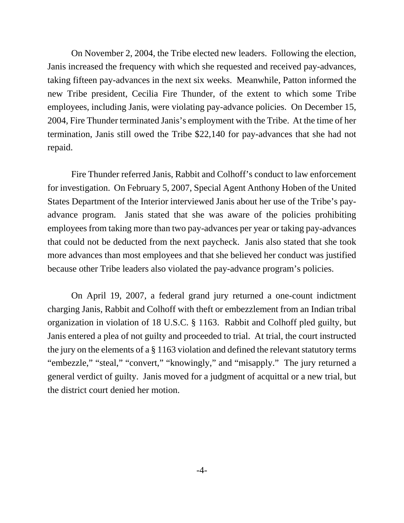On November 2, 2004, the Tribe elected new leaders. Following the election, Janis increased the frequency with which she requested and received pay-advances, taking fifteen pay-advances in the next six weeks. Meanwhile, Patton informed the new Tribe president, Cecilia Fire Thunder, of the extent to which some Tribe employees, including Janis, were violating pay-advance policies. On December 15, 2004, Fire Thunder terminated Janis's employment with the Tribe. At the time of her termination, Janis still owed the Tribe \$22,140 for pay-advances that she had not repaid.

Fire Thunder referred Janis, Rabbit and Colhoff's conduct to law enforcement for investigation. On February 5, 2007, Special Agent Anthony Hoben of the United States Department of the Interior interviewed Janis about her use of the Tribe's payadvance program. Janis stated that she was aware of the policies prohibiting employees from taking more than two pay-advances per year or taking pay-advances that could not be deducted from the next paycheck. Janis also stated that she took more advances than most employees and that she believed her conduct was justified because other Tribe leaders also violated the pay-advance program's policies.

On April 19, 2007, a federal grand jury returned a one-count indictment charging Janis, Rabbit and Colhoff with theft or embezzlement from an Indian tribal organization in violation of 18 U.S.C. § 1163. Rabbit and Colhoff pled guilty, but Janis entered a plea of not guilty and proceeded to trial. At trial, the court instructed the jury on the elements of a § 1163 violation and defined the relevant statutory terms "embezzle," "steal," "convert," "knowingly," and "misapply." The jury returned a general verdict of guilty. Janis moved for a judgment of acquittal or a new trial, but the district court denied her motion.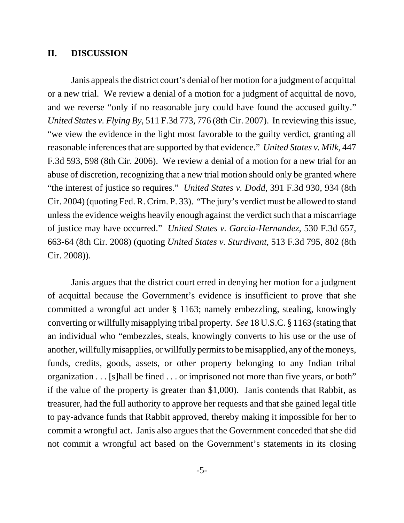#### **II. DISCUSSION**

Janis appeals the district court's denial of her motion for a judgment of acquittal or a new trial. We review a denial of a motion for a judgment of acquittal de novo, and we reverse "only if no reasonable jury could have found the accused guilty." *United States v. Flying By*, 511 F.3d 773, 776 (8th Cir. 2007). In reviewing this issue, "we view the evidence in the light most favorable to the guilty verdict, granting all reasonable inferences that are supported by that evidence." *United States v. Milk*, 447 F.3d 593, 598 (8th Cir. 2006). We review a denial of a motion for a new trial for an abuse of discretion, recognizing that a new trial motion should only be granted where "the interest of justice so requires." *United States v. Dodd*, 391 F.3d 930, 934 (8th Cir. 2004) (quoting Fed. R. Crim. P. 33). "The jury's verdict must be allowed to stand unless the evidence weighs heavily enough against the verdict such that a miscarriage of justice may have occurred." *United States v. Garcia-Hernandez*, 530 F.3d 657, 663-64 (8th Cir. 2008) (quoting *United States v. Sturdivant*, 513 F.3d 795, 802 (8th Cir. 2008)).

Janis argues that the district court erred in denying her motion for a judgment of acquittal because the Government's evidence is insufficient to prove that she committed a wrongful act under § 1163; namely embezzling, stealing, knowingly converting or willfully misapplying tribal property. *See* 18 U.S.C. § 1163 (stating that an individual who "embezzles, steals, knowingly converts to his use or the use of another, willfully misapplies, or willfully permits to be misapplied, any of the moneys, funds, credits, goods, assets, or other property belonging to any Indian tribal organization . . . [s]hall be fined . . . or imprisoned not more than five years, or both" if the value of the property is greater than \$1,000). Janis contends that Rabbit, as treasurer, had the full authority to approve her requests and that she gained legal title to pay-advance funds that Rabbit approved, thereby making it impossible for her to commit a wrongful act. Janis also argues that the Government conceded that she did not commit a wrongful act based on the Government's statements in its closing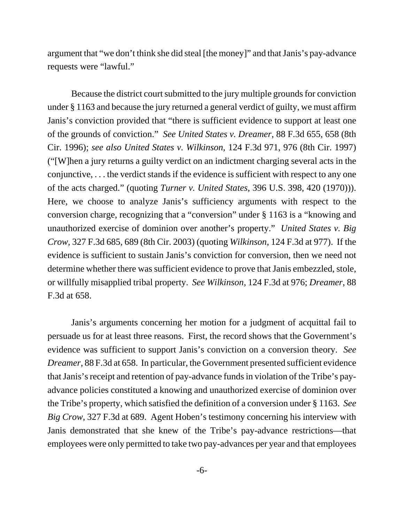argument that "we don't think she did steal [the money]" and that Janis's pay-advance requests were "lawful."

Because the district court submitted to the jury multiple grounds for conviction under § 1163 and because the jury returned a general verdict of guilty, we must affirm Janis's conviction provided that "there is sufficient evidence to support at least one of the grounds of conviction." *See United States v. Dreamer*, 88 F.3d 655, 658 (8th Cir. 1996); *see also United States v. Wilkinson*, 124 F.3d 971, 976 (8th Cir. 1997) ("[W]hen a jury returns a guilty verdict on an indictment charging several acts in the conjunctive, . . . the verdict stands if the evidence is sufficient with respect to any one of the acts charged." (quoting *Turner v. United States*, 396 U.S. 398, 420 (1970))). Here, we choose to analyze Janis's sufficiency arguments with respect to the conversion charge, recognizing that a "conversion" under § 1163 is a "knowing and unauthorized exercise of dominion over another's property." *United States v. Big Crow*, 327 F.3d 685, 689 (8th Cir. 2003) (quoting *Wilkinson*, 124 F.3d at 977). If the evidence is sufficient to sustain Janis's conviction for conversion, then we need not determine whether there was sufficient evidence to prove that Janis embezzled, stole, or willfully misapplied tribal property. *See Wilkinson*, 124 F.3d at 976; *Dreamer*, 88 F.3d at 658.

Janis's arguments concerning her motion for a judgment of acquittal fail to persuade us for at least three reasons. First, the record shows that the Government's evidence was sufficient to support Janis's conviction on a conversion theory. *See Dreamer*, 88 F.3d at 658. In particular, the Government presented sufficient evidence that Janis's receipt and retention of pay-advance funds in violation of the Tribe's payadvance policies constituted a knowing and unauthorized exercise of dominion over the Tribe's property, which satisfied the definition of a conversion under § 1163. *See Big Crow*, 327 F.3d at 689. Agent Hoben's testimony concerning his interview with Janis demonstrated that she knew of the Tribe's pay-advance restrictions—that employees were only permitted to take two pay-advances per year and that employees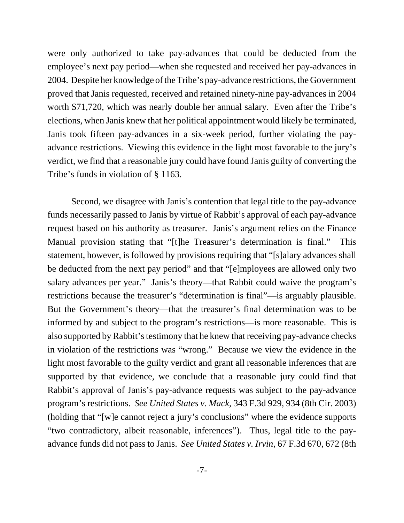were only authorized to take pay-advances that could be deducted from the employee's next pay period—when she requested and received her pay-advances in 2004. Despite her knowledge of the Tribe's pay-advance restrictions, the Government proved that Janis requested, received and retained ninety-nine pay-advances in 2004 worth \$71,720, which was nearly double her annual salary. Even after the Tribe's elections, when Janis knew that her political appointment would likely be terminated, Janis took fifteen pay-advances in a six-week period, further violating the payadvance restrictions. Viewing this evidence in the light most favorable to the jury's verdict, we find that a reasonable jury could have found Janis guilty of converting the Tribe's funds in violation of § 1163.

Second, we disagree with Janis's contention that legal title to the pay-advance funds necessarily passed to Janis by virtue of Rabbit's approval of each pay-advance request based on his authority as treasurer. Janis's argument relies on the Finance Manual provision stating that "[t]he Treasurer's determination is final." This statement, however, is followed by provisions requiring that "[s]alary advances shall be deducted from the next pay period" and that "[e]mployees are allowed only two salary advances per year." Janis's theory—that Rabbit could waive the program's restrictions because the treasurer's "determination is final"—is arguably plausible. But the Government's theory—that the treasurer's final determination was to be informed by and subject to the program's restrictions—is more reasonable. This is also supported by Rabbit's testimony that he knew that receiving pay-advance checks in violation of the restrictions was "wrong." Because we view the evidence in the light most favorable to the guilty verdict and grant all reasonable inferences that are supported by that evidence, we conclude that a reasonable jury could find that Rabbit's approval of Janis's pay-advance requests was subject to the pay-advance program's restrictions. *See United States v. Mack*, 343 F.3d 929, 934 (8th Cir. 2003) (holding that "[w]e cannot reject a jury's conclusions" where the evidence supports "two contradictory, albeit reasonable, inferences"). Thus, legal title to the payadvance funds did not pass to Janis. *See United States v. Irvin*, 67 F.3d 670, 672 (8th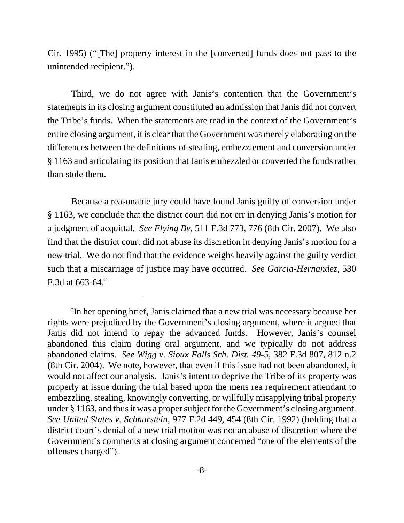Cir. 1995) ("[The] property interest in the [converted] funds does not pass to the unintended recipient.").

Third, we do not agree with Janis's contention that the Government's statements in its closing argument constituted an admission that Janis did not convert the Tribe's funds. When the statements are read in the context of the Government's entire closing argument, it is clear that the Government was merely elaborating on the differences between the definitions of stealing, embezzlement and conversion under § 1163 and articulating its position that Janis embezzled or converted the funds rather than stole them.

Because a reasonable jury could have found Janis guilty of conversion under § 1163, we conclude that the district court did not err in denying Janis's motion for a judgment of acquittal. *See Flying By*, 511 F.3d 773, 776 (8th Cir. 2007). We also find that the district court did not abuse its discretion in denying Janis's motion for a new trial. We do not find that the evidence weighs heavily against the guilty verdict such that a miscarriage of justice may have occurred. *See Garcia-Hernandez*, 530 F.3d at  $663-64$ <sup>2</sup>

<sup>2</sup> In her opening brief, Janis claimed that a new trial was necessary because her rights were prejudiced by the Government's closing argument, where it argued that Janis did not intend to repay the advanced funds. However, Janis's counsel abandoned this claim during oral argument, and we typically do not address abandoned claims. *See Wigg v. Sioux Falls Sch. Dist. 49-5*, 382 F.3d 807, 812 n.2 (8th Cir. 2004). We note, however, that even if this issue had not been abandoned, it would not affect our analysis. Janis's intent to deprive the Tribe of its property was properly at issue during the trial based upon the mens rea requirement attendant to embezzling, stealing, knowingly converting, or willfully misapplying tribal property under § 1163, and thus it was a proper subject for the Government's closing argument. *See United States v. Schnurstein*, 977 F.2d 449, 454 (8th Cir. 1992) (holding that a district court's denial of a new trial motion was not an abuse of discretion where the Government's comments at closing argument concerned "one of the elements of the offenses charged").